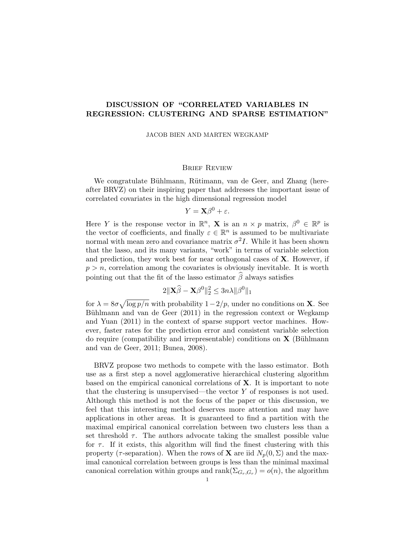# DISCUSSION OF "CORRELATED VARIABLES IN REGRESSION: CLUSTERING AND SPARSE ESTIMATION"

JACOB BIEN AND MARTEN WEGKAMP

## Brief Review

We congratulate Bühlmann, Rütimann, van de Geer, and Zhang (hereafter BRVZ) on their inspiring paper that addresses the important issue of correlated covariates in the high dimensional regression model

$$
Y = \mathbf{X}\beta^0 + \varepsilon.
$$

Here Y is the response vector in  $\mathbb{R}^n$ , **X** is an  $n \times p$  matrix,  $\beta^0 \in \mathbb{R}^p$  is the vector of coefficients, and finally  $\varepsilon \in \mathbb{R}^n$  is assumed to be multivariate normal with mean zero and covariance matrix  $\sigma^2 I$ . While it has been shown that the lasso, and its many variants, "work" in terms of variable selection and prediction, they work best for near orthogonal cases of  $X$ . However, if  $p > n$ , correlation among the covariates is obviously inevitable. It is worth pointing out that the fit of the lasso estimator  $\widehat{\beta}$  always satisfies

$$
2\|\mathbf{X}\widehat{\beta}-\mathbf{X}\beta^0\|_2^2 \leq 3n\lambda \|\beta^0\|_1
$$

for  $\lambda = 8\sigma \sqrt{\log p/n}$  with probability  $1-2/p$ , under no conditions on **X**. See Bühlmann and van de Geer  $(2011)$  in the regression context or Wegkamp and Yuan (2011) in the context of sparse support vector machines. However, faster rates for the prediction error and consistent variable selection do require (compatibility and irrepresentable) conditions on  $X$  (Bühlmann and van de Geer, 2011; Bunea, 2008).

BRVZ propose two methods to compete with the lasso estimator. Both use as a first step a novel agglomerative hierarchical clustering algorithm based on the empirical canonical correlations of X. It is important to note that the clustering is unsupervised—the vector Y of responses is not used. Although this method is not the focus of the paper or this discussion, we feel that this interesting method deserves more attention and may have applications in other areas. It is guaranteed to find a partition with the maximal empirical canonical correlation between two clusters less than a set threshold  $\tau$ . The authors advocate taking the smallest possible value for  $\tau$ . If it exists, this algorithm will find the finest clustering with this property ( $\tau$ -separation). When the rows of **X** are iid  $N_p(0, \Sigma)$  and the maximal canonical correlation between groups is less than the minimal maximal canonical correlation within groups and  $\text{rank}(\Sigma_{G_r,G_r}) = o(n)$ , the algorithm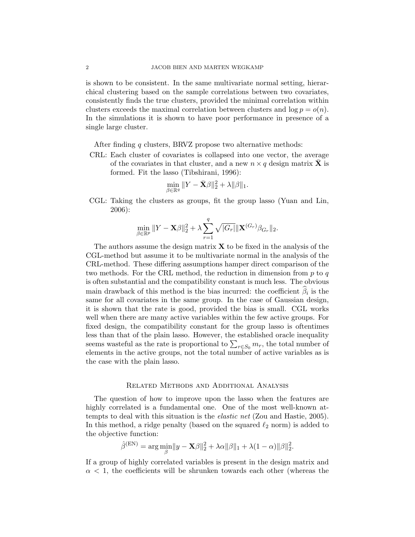is shown to be consistent. In the same multivariate normal setting, hierarchical clustering based on the sample correlations between two covariates, consistently finds the true clusters, provided the minimal correlation within clusters exceeds the maximal correlation between clusters and  $\log p = o(n)$ . In the simulations it is shown to have poor performance in presence of a single large cluster.

After finding q clusters, BRVZ propose two alternative methods:

CRL: Each cluster of covariates is collapsed into one vector, the average of the covariates in that cluster, and a new  $n \times q$  design matrix **X** is formed. Fit the lasso (Tibshirani, 1996):

$$
\min_{\beta \in \mathbb{R}^q} \|Y - \bar{\mathbf{X}}\beta\|_2^2 + \lambda \|\beta\|_1.
$$

CGL: Taking the clusters as groups, fit the group lasso (Yuan and Lin, 2006):

$$
\min_{\beta \in \mathbb{R}^p} \|Y - \mathbf{X}\beta\|_2^2 + \lambda \sum_{r=1}^q \sqrt{|G_r|} \|\mathbf{X}^{(G_r)}\beta_{G_r}\|_2.
$$

The authors assume the design matrix  $\bf{X}$  to be fixed in the analysis of the CGL-method but assume it to be multivariate normal in the analysis of the CRL-method. These differing assumptions hamper direct comparison of the two methods. For the CRL method, the reduction in dimension from  $p$  to  $q$ is often substantial and the compatibility constant is much less. The obvious main drawback of this method is the bias incurred: the coefficient  $\beta_i$  is the same for all covariates in the same group. In the case of Gaussian design, it is shown that the rate is good, provided the bias is small. CGL works well when there are many active variables within the few active groups. For fixed design, the compatibility constant for the group lasso is oftentimes less than that of the plain lasso. However, the established oracle inequality seems wasteful as the rate is proportional to  $\sum_{r \in S_0} m_r$ , the total number of elements in the active groups, not the total number of active variables as is the case with the plain lasso.

# Related Methods and Additional Analysis

The question of how to improve upon the lasso when the features are highly correlated is a fundamental one. One of the most well-known attempts to deal with this situation is the elastic net (Zou and Hastie, 2005). In this method, a ridge penalty (based on the squared  $\ell_2$  norm) is added to the objective function:

$$
\hat{\beta}^{(\text{EN})} = \arg\min_{\beta} \|y - \mathbf{X}\beta\|_2^2 + \lambda \alpha \|\beta\|_1 + \lambda (1 - \alpha) \|\beta\|_2^2.
$$

If a group of highly correlated variables is present in the design matrix and  $\alpha$  < 1, the coefficients will be shrunken towards each other (whereas the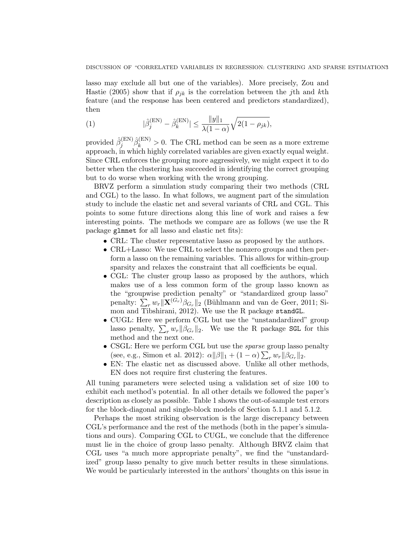lasso may exclude all but one of the variables). More precisely, Zou and Hastie (2005) show that if  $\rho_{ik}$  is the correlation between the jth and kth feature (and the response has been centered and predictors standardized), then

(1) 
$$
|\hat{\beta}_j^{(\text{EN})} - \hat{\beta}_k^{(\text{EN})}| \le \frac{\|y\|_1}{\lambda(1-\alpha)} \sqrt{2(1-\rho_{jk})},
$$

provided  $\hat{\beta}_i^{(\text{EN})}$  $j^{(\text{EN})}_{j} \hat{\beta}_{k}^{(\text{EN})} > 0$ . The CRL method can be seen as a more extreme approach, in which highly correlated variables are given exactly equal weight. Since CRL enforces the grouping more aggressively, we might expect it to do better when the clustering has succeeded in identifying the correct grouping but to do worse when working with the wrong grouping.

BRVZ perform a simulation study comparing their two methods (CRL and CGL) to the lasso. In what follows, we augment part of the simulation study to include the elastic net and several variants of CRL and CGL. This points to some future directions along this line of work and raises a few interesting points. The methods we compare are as follows (we use the R package glmnet for all lasso and elastic net fits):

- CRL: The cluster representative lasso as proposed by the authors.
- CRL+Lasso: We use CRL to select the nonzero groups and then perform a lasso on the remaining variables. This allows for within-group sparsity and relaxes the constraint that all coefficients be equal.
- CGL: The cluster group lasso as proposed by the authors, which makes use of a less common form of the group lasso known as the "groupwise prediction penalty" or "standardized group lasso" penalty:  $\sum_r w_r \|\mathbf{X}^{(G_r)}\beta_{G_r}\|_2$  (Bühlmann and van de Geer, 2011; Simon and Tibshirani, 2012). We use the R package standGL.
- CUGL: Here we perform CGL but use the "unstandardized" group lasso penalty,  $\sum_r w_r ||\beta_{G_r}||_2$ . We use the R package SGL for this method and the next one.
- CSGL: Here we perform CGL but use the *sparse* group lasso penalty (see, e.g., Simon et al. 2012):  $\alpha \|\beta\|_1 + (1 - \alpha) \sum_r w_r \|\beta_{G_r}\|_2$ .
- EN: The elastic net as discussed above. Unlike all other methods, EN does not require first clustering the features.

All tuning parameters were selected using a validation set of size 100 to exhibit each method's potential. In all other details we followed the paper's description as closely as possible. Table 1 shows the out-of-sample test errors for the block-diagonal and single-block models of Section 5.1.1 and 5.1.2.

Perhaps the most striking observation is the large discrepancy between CGL's performance and the rest of the methods (both in the paper's simulations and ours). Comparing CGL to CUGL, we conclude that the difference must lie in the choice of group lasso penalty. Although BRVZ claim that CGL uses "a much more appropriate penalty", we find the "unstandardized" group lasso penalty to give much better results in these simulations. We would be particularly interested in the authors' thoughts on this issue in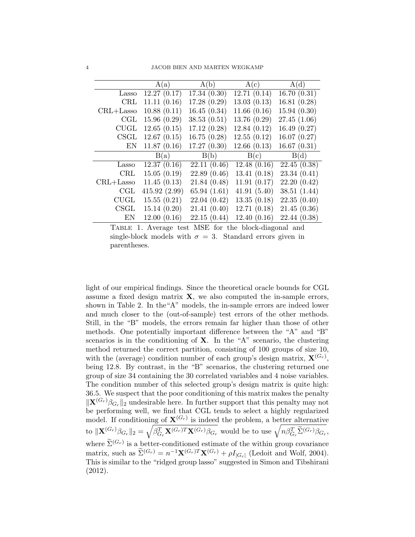|               | A(a)         | A(b)        | A(c)        | A(d)         |  |
|---------------|--------------|-------------|-------------|--------------|--|
| Lasso         | 12.27(0.17)  | 17.34(0.30) | 12.71(0.14) | 16.70(0.31)  |  |
| <b>CRL</b>    | 11.11(0.16)  | 17.28(0.29) | 13.03(0.13) | 16.81(0.28)  |  |
| $CRL + Lasso$ | 10.88(0.11)  | 16.45(0.34) | 11.66(0.16) | 15.94(0.30)  |  |
| CGL           | 15.96(0.29)  | 38.53(0.51) | 13.76(0.29) | 27.45(1.06)  |  |
| <b>CUGL</b>   | 12.65(0.15)  | 17.12(0.28) | 12.84(0.12) | 16.49(0.27)  |  |
| CSGL          | 12.67(0.15)  | 16.75(0.28) | 12.55(0.12) | 16.07(0.27)  |  |
| EN            | 11.87(0.16)  | 17.27(0.30) | 12.66(0.13) | 16.67(0.31)  |  |
|               | B(a)         | B(b)        | B(c)        | B(d)         |  |
| Lasso         | 12.37(0.16)  | 22.11(0.46) | 12.48(0.16) | 22.45(0.38)  |  |
| <b>CRL</b>    | 15.05(0.19)  | 22.89(0.46) | 13.41(0.18) | 23.34(0.41)  |  |
| $CRL+Lasso$   | 11.45(0.13)  | 21.84(0.48) | 11.91(0.17) | 22.20(0.42)  |  |
| CGL           | 415.92(2.99) | 65.94(1.61) | 41.91(5.40) | 38.51(1.44)  |  |
| CUGL          | 15.55(0.21)  | 22.04(0.42) | 13.35(0.18) | 22.35(0.40)  |  |
| CSGL          | 15.14(0.20)  | 21.41(0.40) | 12.71(0.18) | 21.45(0.36)  |  |
| EN            | 12.00(0.16)  | 22.15(0.44) | 12.40(0.16) | 22.44 (0.38) |  |

Table 1. Average test MSE for the block-diagonal and single-block models with  $\sigma = 3$ . Standard errors given in parentheses.

light of our empirical findings. Since the theoretical oracle bounds for CGL assume a fixed design matrix  $\mathbf{X}$ , we also computed the in-sample errors, shown in Table 2. In the"A" models, the in-sample errors are indeed lower and much closer to the (out-of-sample) test errors of the other methods. Still, in the "B" models, the errors remain far higher than those of other methods. One potentially important difference between the "A" and "B" scenarios is in the conditioning of  $X$ . In the "A" scenario, the clustering method returned the correct partition, consisting of 100 groups of size 10, with the (average) condition number of each group's design matrix,  $\mathbf{X}^{(G_r)}$ , being 12.8. By contrast, in the "B" scenarios, the clustering returned one group of size 34 containing the 30 correlated variables and 4 noise variables. The condition number of this selected group's design matrix is quite high: 36.5. We suspect that the poor conditioning of this matrix makes the penalty  $\|\mathbf{X}^{(G_r)}\beta_{G_r}\|_2$  undesirable here. In further support that this penalty may not be performing well, we find that CGL tends to select a highly regularized model. If conditioning of  $\mathbf{X}^{(G_r)}$  is indeed the problem, a better alternative to  $\|\mathbf{X}^{(G_r)}\beta_{G_r}\|_2 = \sqrt{\beta_{G_r}^T\mathbf{X}^{(G_r)T}\mathbf{X}^{(G_r)}\beta_{G_r}}$  would be to use  $\sqrt{n\beta_{G_r}^T\widetilde{\Sigma}^{(G_r)}\beta_{G_r}}$ , where  $\widetilde{\Sigma}^{(G_r)}$  is a better-conditioned estimate of the within group covariance matrix, such as  $\widetilde{\Sigma}^{(G_r)} = n^{-1} \mathbf{X}^{(G_r)T} \mathbf{X}^{(G_r)} + \rho I_{|G_r|}$  (Ledoit and Wolf, 2004). This is similar to the "ridged group lasso" suggested in Simon and Tibshirani (2012).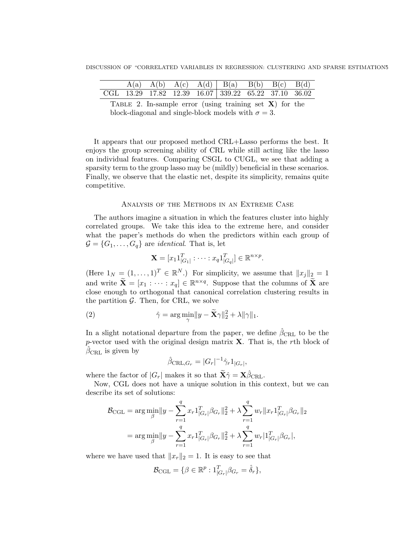|  |  | $A(a)$ $A(b)$ $A(c)$ $A(d)$ $B(a)$ $B(b)$ $B(c)$ $B(d)$ |  |  |
|--|--|---------------------------------------------------------|--|--|
|  |  | CGL 13.29 17.82 12.39 16.07 339.22 65.22 37.10 36.02    |  |  |

TABLE 2. In-sample error (using training set  $X$ ) for the block-diagonal and single-block models with  $\sigma = 3$ .

It appears that our proposed method CRL+Lasso performs the best. It enjoys the group screening ability of CRL while still acting like the lasso on individual features. Comparing CSGL to CUGL, we see that adding a sparsity term to the group lasso may be (mildly) beneficial in these scenarios. Finally, we observe that the elastic net, despite its simplicity, remains quite competitive.

# Analysis of the Methods in an Extreme Case

The authors imagine a situation in which the features cluster into highly correlated groups. We take this idea to the extreme here, and consider what the paper's methods do when the predictors within each group of  $\mathcal{G} = \{G_1, \ldots, G_q\}$  are *identical*. That is, let

$$
\mathbf{X} = [x_1 1_{|G_1|}^T : \cdots : x_q 1_{|G_q|}^T] \in \mathbb{R}^{n \times p}.
$$

(Here  $1_N = (1, \ldots, 1)^T \in \mathbb{R}^N$ .) For simplicity, we assume that  $||x_j||_2 = 1$ and write  $\widetilde{\mathbf{X}} = [x_1 : \cdots : x_q] \in \mathbb{R}^{n \times q}$ . Suppose that the columns of  $\widetilde{\mathbf{X}}$  are close enough to orthogonal that canonical correlation clustering results in the partition  $\mathcal{G}$ . Then, for CRL, we solve

(2) 
$$
\hat{\gamma} = \arg \min_{\gamma} ||y - \widetilde{\mathbf{X}} \gamma||_2^2 + \lambda ||\gamma||_1.
$$

In a slight notational departure from the paper, we define  $\beta_{\text{CRL}}$  to be the p-vector used with the original design matrix  $X$ . That is, the rth block of  $\beta_{\text{CRL}}$  is given by

$$
\hat{\beta}_{\text{CRL},G_r} = |G_r|^{-1} \hat{\gamma}_r \mathbb{1}_{|G_r|},
$$

where the factor of  $|G_r|$  makes it so that  $\widetilde{\mathbf{X}}\hat{\gamma} = \mathbf{X}\hat{\beta}_{\text{CRL}}$ .

Now, CGL does not have a unique solution in this context, but we can describe its set of solutions:

$$
\mathcal{B}_{\text{CGL}} = \arg \min_{\beta} \|y - \sum_{r=1}^{q} x_r 1_{|G_r|}^T \beta_{G_r} \|_2^2 + \lambda \sum_{r=1}^{q} w_r \|x_r 1_{|G_r|}^T \beta_{G_r} \|_2
$$
  
= 
$$
\arg \min_{\beta} \|y - \sum_{r=1}^{q} x_r 1_{|G_r|}^T \beta_{G_r} \|_2^2 + \lambda \sum_{r=1}^{q} w_r |1_{|G_r|}^T \beta_{G_r} |,
$$

where we have used that  $||x_r||_2 = 1$ . It is easy to see that

$$
\mathcal{B}_{\text{CGL}} = \{ \beta \in \mathbb{R}^p : 1_{|G_r|}^T \beta_{G_r} = \hat{\delta}_r \},
$$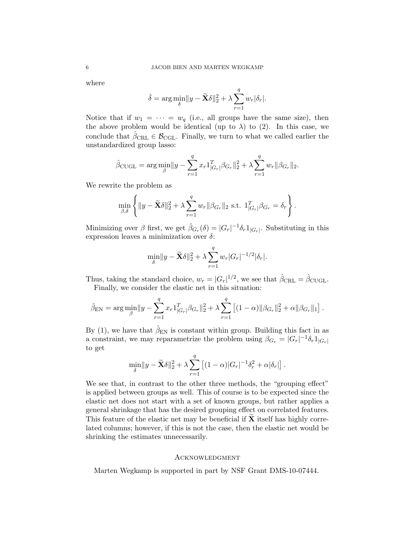where

$$
\hat{\delta} = \arg \min_{\delta} ||y - \widetilde{\mathbf{X}} \delta||_2^2 + \lambda \sum_{r=1}^q w_r |\delta_r|.
$$

Notice that if  $w_1 = \cdots = w_q$  (i.e., all groups have the same size), then the above problem would be identical (up to  $\lambda$ ) to (2). In this case, we conclude that  $\beta_{\text{CRL}} \in \mathcal{B}_{\text{CGL}}$ . Finally, we turn to what we called earlier the unstandardized group lasso:

$$
\hat{\beta}_{\text{CUGL}} = \arg \min_{\beta} ||y - \sum_{r=1}^{q} x_r 1_{|G_r|}^T \beta_{G_r} ||_2^2 + \lambda \sum_{r=1}^{q} w_r ||\beta_{G_r} ||_2.
$$

We rewrite the problem as

$$
\min_{\beta,\delta} \left\{ \|y - \widetilde{\mathbf{X}}\delta\|_2^2 + \lambda \sum_{r=1}^q w_r \|\beta_{G_r}\|_2 \text{ s.t. } \mathbf{1}_{|G_r|}^T \beta_{G_r} = \delta_r \right\}.
$$

Minimizing over  $\beta$  first, we get  $\hat{\beta}_{G_r}(\delta) = |G_r|^{-1} \delta_r 1_{|G_r|}$ . Substituting in this expression leaves a minimization over  $\delta$ :

$$
\min_{\delta} ||y - \widetilde{\mathbf{X}}\delta||_2^2 + \lambda \sum_{r=1}^q w_r |G_r|^{-1/2} |\delta_r|.
$$

Thus, taking the standard choice,  $w_r = |G_r|^{1/2}$ , we see that  $\hat{\beta}_{\text{CRL}} = \hat{\beta}_{\text{CUGL}}$ . Finally, we consider the elastic net in this situation:

$$
\hat{\beta}_{\text{EN}} = \arg \min_{\beta} ||y - \sum_{r=1}^{q} x_r 1_{|G_r|}^T \beta_{G_r}||_2^2 + \lambda \sum_{r=1}^{q} \left[ (1 - \alpha) ||\beta_{G_r}||_2^2 + \alpha ||\beta_{G_r}||_1 \right].
$$

By (1), we have that  $\hat{\beta}_{\text{EN}}$  is constant within group. Building this fact in as a constraint, we may reparametrize the problem using  $\beta_{G_r} = |G_r|^{-1} \delta_r 1_{|G_r|}$ to get

$$
\min_{\delta} \|y - \widetilde{\mathbf{X}}\delta\|_2^2 + \lambda \sum_{r=1}^q \left[ (1-\alpha)|G_r|^{-1} \delta_r^2 + \alpha |\delta_r| \right].
$$

We see that, in contrast to the other three methods, the "grouping effect" is applied between groups as well. This of course is to be expected since the elastic net does not start with a set of known groups, but rather applies a general shrinkage that has the desired grouping effect on correlated features. This feature of the elastic net may be beneficial if  $X$  itself has highly correlated columns; however, if this is not the case, then the elastic net would be shrinking the estimates unnecessarily.

#### Acknowledgment

Marten Wegkamp is supported in part by NSF Grant DMS-10-07444.